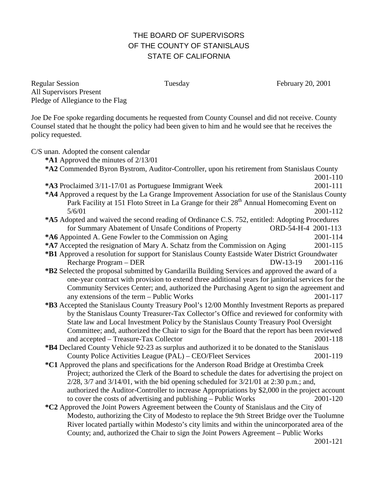## THE BOARD OF SUPERVISORS OF THE COUNTY OF STANISLAUS STATE OF CALIFORNIA

Regular Session Tuesday February 20, 2001 All Supervisors Present Pledge of Allegiance to the Flag

Joe De Foe spoke regarding documents he requested from County Counsel and did not receive. County Counsel stated that he thought the policy had been given to him and he would see that he receives the policy requested.

C/S unan. Adopted the consent calendar **\*A1** Approved the minutes of 2/13/01 **\*A2** Commended Byron Bystrom, Auditor-Controller, upon his retirement from Stanislaus County 2001-110 **\*A3** Proclaimed 3/11-17/01 as Portuguese Immigrant Week 2001-111 **\*A4** Approved a request by the La Grange Improvement Association for use of the Stanislaus County Park Facility at 151 Floto Street in La Grange for their 28<sup>th</sup> Annual Homecoming Event on 5/6/01 2001-112 **\*A5** Adopted and waived the second reading of Ordinance C.S. 752, entitled: Adopting Procedures for Summary Abatement of Unsafe Conditions of Property ORD-54-H-4 2001-113 **\*A6** Appointed A. Gene Fowler to the Commission on Aging 2001-114 **\*A7** Accepted the resignation of Mary A. Schatz from the Commission on Aging 2001-115 **\*B1** Approved a resolution for support for Stanislaus County Eastside Water District Groundwater Recharge Program – DER DW-13-19 2001-116 **\*B2** Selected the proposal submitted by Gandarilla Building Services and approved the award of a one-year contract with provision to extend three additional years for janitorial services for the Community Services Center; and, authorized the Purchasing Agent to sign the agreement and any extensions of the term – Public Works 2001-117 **\*B3** Accepted the Stanislaus County Treasury Pool's 12/00 Monthly Investment Reports as prepared by the Stanislaus County Treasurer-Tax Collector's Office and reviewed for conformity with State law and Local Investment Policy by the Stanislaus County Treasury Pool Oversight Committee; and, authorized the Chair to sign for the Board that the report has been reviewed and accepted – Treasure-Tax Collector 2001-118 **\*B4** Declared County Vehicle 92-23 as surplus and authorized it to be donated to the Stanislaus County Police Activities League (PAL) – CEO/Fleet Services 2001-119 **\*C1** Approved the plans and specifications for the Anderson Road Bridge at Orestimba Creek Project; authorized the Clerk of the Board to schedule the dates for advertising the project on 2/28, 3/7 and 3/14/01, with the bid opening scheduled for 3/21/01 at 2:30 p.m.; and, authorized the Auditor-Controller to increase Appropriations by \$2,000 in the project account to cover the costs of advertising and publishing – Public Works 2001-120 **\*C2** Approved the Joint Powers Agreement between the County of Stanislaus and the City of Modesto, authorizing the City of Modesto to replace the 9th Street Bridge over the Tuolumne River located partially within Modesto's city limits and within the unincorporated area of the County; and, authorized the Chair to sign the Joint Powers Agreement – Public Works 2001-121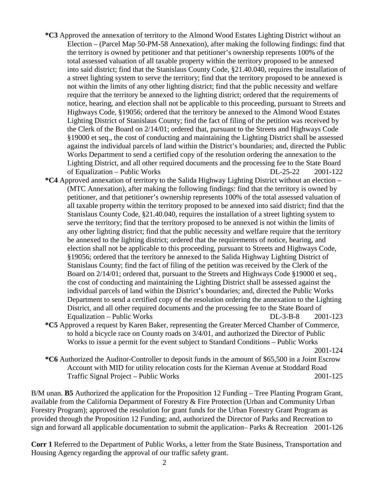- **\*C3** Approved the annexation of territory to the Almond Wood Estates Lighting District without an Election – (Parcel Map 50-PM-58 Annexation), after making the following findings: find that the territory is owned by petitioner and that petitioner's ownership represents 100% of the total assessed valuation of all taxable property within the territory proposed to be annexed into said district; find that the Stanislaus County Code, §21.40.040, requires the installation of a street lighting system to serve the territory; find that the territory proposed to be annexed is not within the limits of any other lighting district; find that the public necessity and welfare require that the territory be annexed to the lighting district; ordered that the requirements of notice, hearing, and election shall not be applicable to this proceeding, pursuant to Streets and Highways Code, §19056; ordered that the territory be annexed to the Almond Wood Estates Lighting District of Stanislaus County; find the fact of filing of the petition was received by the Clerk of the Board on 2/14/01; ordered that, pursuant to the Streets and Highways Code §19000 et seq., the cost of conducting and maintaining the Lighting District shall be assessed against the individual parcels of land within the District's boundaries; and, directed the Public Works Department to send a certified copy of the resolution ordering the annexation to the Lighting District, and all other required documents and the processing fee to the State Board of Equalization – Public Works DL-25-22 2001-122
- **\*C4** Approved annexation of territory to the Salida Highway Lighting District without an election (MTC Annexation), after making the following findings: find that the territory is owned by petitioner, and that petitioner's ownership represents 100% of the total assessed valuation of all taxable property within the territory proposed to be annexed into said district; find that the Stanislaus County Code, §21.40.040, requires the installation of a street lighting system to serve the territory; find that the territory proposed to be annexed is not within the limits of any other lighting district; find that the public necessity and welfare require that the territory be annexed to the lighting district; ordered that the requirements of notice, hearing, and election shall not be applicable to this proceeding, pursuant to Streets and Highways Code, §19056; ordered that the territory be annexed to the Salida Highway Lighting District of Stanislaus County; find the fact of filing of the petition was received by the Clerk of the Board on 2/14/01; ordered that, pursuant to the Streets and Highways Code §19000 et seq., the cost of conducting and maintaining the Lighting District shall be assessed against the individual parcels of land within the District's boundaries; and, directed the Public Works Department to send a certified copy of the resolution ordering the annexation to the Lighting District, and all other required documents and the processing fee to the State Board of Equalization – Public Works DL-3-B-8 2001-123
- **\*C5** Approved a request by Karen Baker, representing the Greater Merced Chamber of Commerce, to hold a bicycle race on County roads on 3/4/01, and authorized the Director of Public Works to issue a permit for the event subject to Standard Conditions – Public Works

2001-124

**\*C6** Authorized the Auditor-Controller to deposit funds in the amount of \$65,500 in a Joint Escrow Account with MID for utility relocation costs for the Kiernan Avenue at Stoddard Road Traffic Signal Project – Public Works 2001-125

B/M unan. **B5** Authorized the application for the Proposition 12 Funding – Tree Planting Program Grant, available from the California Department of Forestry & Fire Protection (Urban and Community Urban Forestry Program); approved the resolution for grant funds for the Urban Forestry Grant Program as provided through the Proposition 12 Funding; and, authorized the Director of Parks and Recreation to sign and forward all applicable documentation to submit the application– Parks & Recreation 2001-126

**Corr 1** Referred to the Department of Public Works, a letter from the State Business, Transportation and Housing Agency regarding the approval of our traffic safety grant.